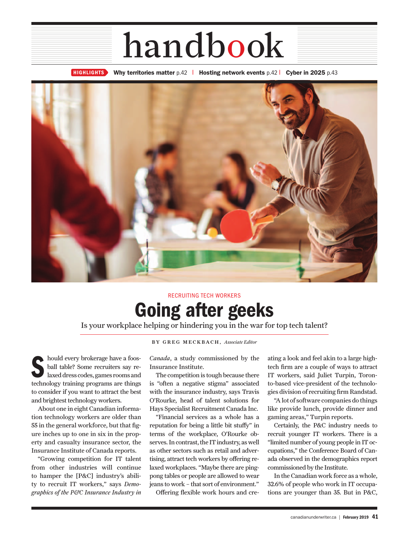## handbook

**HIGHLIGHTS Why territories matter** p.42 l **Hosting network events** p.42 l **Cyber in 2025** p.43



## **Going after geeks** RECRUITING TECH WORKERS

Is your workplace helping or hindering you in the war for top tech talent?

**S** hould every brokerage have a foosball table? Some recruiters say relaxed dress codes, games rooms and technology training programs are things to consider if you want to attract the best and brightest technology workers.

About one in eight Canadian information technology workers are older than 55 in the general workforce, but that figure inches up to one in six in the property and casualty insurance sector, the Insurance Institute of Canada reports.

"Growing competition for IT talent from other industries will continue to hamper the [P&C] industry's ability to recruit IT workers," says *Demographics of the P&C Insurance Industry in*  BY GREG MECKBACH, *Associate Editor*

*Canada*, a study commissioned by the Insurance Institute.

The competition is tough because there is "often a negative stigma" associated with the insurance industry, says Travis O'Rourke, head of talent solutions for Hays Specialist Recruitment Canada Inc.

"Financial services as a whole has a reputation for being a little bit stuffy" in terms of the workplace, O'Rourke observes. In contrast, the IT industry, as well as other sectors such as retail and advertising, attract tech workers by offering relaxed workplaces. "Maybe there are pingpong tables or people are allowed to wear jeans to work – that sort of environment."

Offering flexible work hours and cre-

ating a look and feel akin to a large hightech firm are a couple of ways to attract IT workers, said Juliet Turpin, Toronto-based vice-president of the technologies division of recruiting firm Randstad.

"A lot of software companies do things like provide lunch, provide dinner and gaming areas," Turpin reports.

Certainly, the P&C industry needs to recruit younger IT workers. There is a "limited number of young people in IT occupations," the Conference Board of Canada observed in the demographics report commissioned by the Institute.

In the Canadian work force as a whole, 32.6% of people who work in IT occupations are younger than 35. But in P&C,